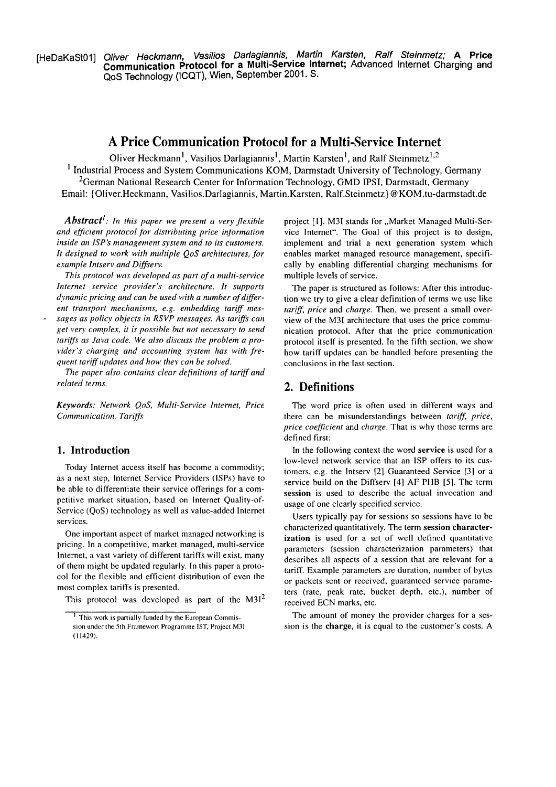[HeDaKaSt01] Oliver Heckmann, Vasilios Darlagiannis, Martin Karsten, Ralf Steinmetz; A Price **Communication Protocol for a Multi-Service Internet; Advanced Internet Charging and** QoS Technology (ICQT), Wien, September 2001. S.

# **A Price Communication Protocol for a Multi-Service Internet**

Oliver Heckmann<sup>1</sup>, Vasilios Darlagiannis<sup>1</sup>, Martin Karsten<sup>1</sup>, and Ralf Steinmetz<sup>1,2</sup> <sup>1</sup> Industrial Process and System Communications KOM, Darmstadt University of Technology, Germany <sup>2</sup>German National Research Center for Information Technology, GMD IPSI, Darmstadt, Germany Email: (Oliver.Heckmann, Vasilios.Darlagiannis, MartinKarsten, Ralf.Steinmetz) @KOM.tu-darmstadt.de

*Abstract': In this paper we present a very jlexible*  and efficient protocol for distributing price information *inside an ISP's management system and to its customers. It designed to work with multiple QoS architectures, for example Intserv and Diffserv.* 

*This protocol was developed as part of a multi-service Internet service provider's architecture. It supports dynamic pricing and can be used with a number of different transport mechanisms, e.g. emhedding tariff mes-* - *sages as policy objects in RSVP messages. As tariffs can get vety complex, it is possihle but not necessary to send*  tariffs as Java code. We also discuss the problem a provider's charging and accounting system has with fre*quent tariff updates and how they can be solved.* 

*The paper also contains clear dejinitions of tarrff and related terms.* **2. Definitions** 

*Keywords: Network QoS, Multi-Service Internet, Price Communication, Tariffs* 

## **1. Introduction**

Today Internet access itself has become a commodity; as a next step, lnternet Service Providers (ISPs) have to be able to differentiate their service offerings for a competitive market Situation, based on lnternet Quality-of-Service (QoS) technology as well as value-added lnternet services.

One important aspect of market managed networking is pricing. In a cornpetitive, market managed, multi-service Internet, a vast variety of different tariffs will exist, many of them might be updated regularly. In this paper a protocol for the flexible and efficient distribution of even the most complex tariffs is presented.

This protocol was developed as part of the  $M3I<sup>2</sup>$ 

project [1]. M3I stands for "Market Managed Multi-Service Internet". The Goal of this project is to design, implement and trial a next generation system which enables market managed resource management, specifically by enabling differential charging mechanisms for multiple levels of service.

The paper is structured as follows: After this introduction we try to give a clear definition of terrns we use like *tarrff, price* and *charge.* Then, we present a small overview of the M3I architecture that uses the price communication protocol. After that the price comrnunication protocol itself is presented. In the fifth section, we show how tariff updates can be handled before presenting the conclusions in the last section.

The word price is often used in different ways and there can be misunderstandings between *tariff, price, price coefficienr* and *charge.* That is why those terrns are defined first:

In the following context the word **service** is used for a low-level network service that an ISP offers to its customers, e.g. the Intserv [2] Guaranteed Service [3] or a service build on the Diffserv [4] AF PHB **[5].** The term **session** is used to describe the actual invocation and usage of one clearly specified service.

Users typically pay for sessions so sessions have to be characterized quantitatively. The term session character**ization** is used for a set of well defined quantitative parameters (session characterization parameters) that describes all aspects of a session that are relevant for a tariff. Example parameters are duration, number of bytes or packets sent or received, guaranteed service pararneters (rate, peak rate, bucket depth, etc.), number of received ECN marks, etc.

The amount of money the provider charges for a session is the **charge,** it is equal to the custorner's costs. A

<sup>&</sup>lt;sup>1</sup> This work is partially funded by the European Commission under the 5th Framewort Programme IST, Project M31 (I **1429).**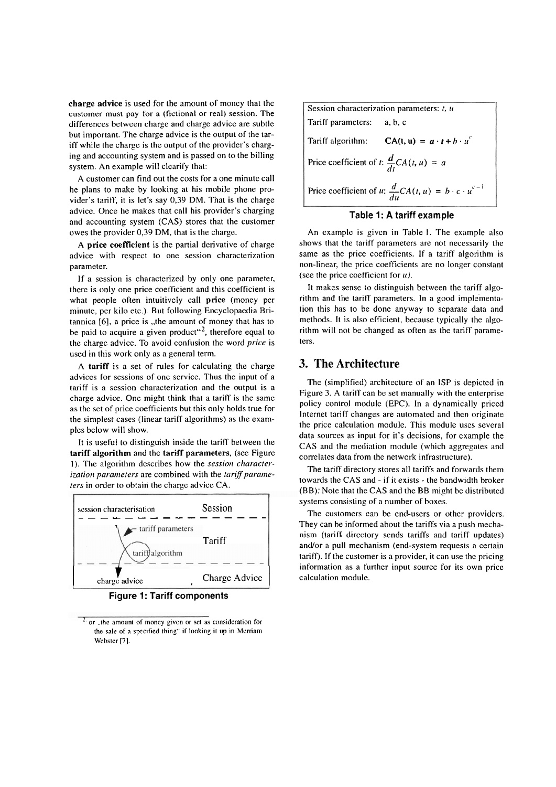**charge advice** is used for the amount of money that the customer inust pay for a (fictional or real) session. The differences between charge and charge advice are subtle but important. The charge advice is the output of the tariff while the charge is the output of the provider's charging and accounting system and is passed on to the billing system. An example will clearify that:

A customer can find out the costs for a one minute call he plans to make by looking at his mobile phone provider's tariff, it is let's say 0,39 DM. That is the charge advice. Once he makes that call his provider's charging and accounting system (CAS) stores that the customer owes the provider 0,39 DM, that is the charge.

A **price coefficient** is the partial derivative of charge advice with respect to one session characterization parameter.

If a session is characterized by only one parameter, there is only one price coefficient and this coefficient is what people often intuitively call price (money per minute, per kilo etc.). But following Encyclopaedia Britannica [6], a price is "the amount of money that has to be paid to acquire a given product"<sup>2</sup>, therefore equal to the charge advice. To avoid confusion the word *price* is used in this work only as **a** general term.

A tariff is a set of rules for calculating the charge advices for sessions of one service. Thus the input of a tariff is a session characterization and the output is a charge advice. One might think that a tariff is the Same as the set of price coefficients but this only holds true for the simplest cases (linear tariff algorithms) as the examples below will show.

It is useful to distinguish inside the tariff between the **tariff algorithm** and the **tariff parameters,** (see Figure 1). The algorithm describes how the *session characterization parameters* are combined with the *tariff parameters* in order to obtain the charge advice CA.



**Figure 1: Tariff components** 

Session characterization parameters: *t*, *u* Tariff parameters: a, b, C Tariff algorithm:  $CA(t, u) = a \cdot t + b \cdot u^c$ Price coefficient of *t*:  $\frac{d}{dt}CA(t, u) = a$ Price coefficient of  $u: \frac{d}{du}CA(t, u) = b \cdot c \cdot u^{c-1}$ 

## **Table 1: A tariff example**

An example is given in Table I. The example also shows that the tariff parameters are not necessarily the same as the price coefficients. If a tariff algorithm is non-linear, the price coefficients are no longer constant (see the price coefficient for  $u$ ).

It makes sense to distinguish between the tariff algorithm and the tariff parameters. In a good implementation this has to be done anyway to separate data and methods. It is also efficient, because typically the dgorithm will not be changed as often as the tariff parameters.

# **3. The Architecture**

The (simplified) architecture of an ISP is depictcd in Figure 3. A tariff can be set manually with the enterprise policy control module (EPC). In a dynamically priccd lnternet tariff changes are automated and then originate the pricc calculation module. This module uscs several data sources as input for it's decisions, for example the CAS and the mediation module (which aggregates and correlates data from the network infrastructure).

The tariff directory stores all tariffs and forwards them towards the CAS and - if it exists - the bandwidth broker (BB): Note that the CAS and the BB might be distributcd systems consisting of a number of boxes.

The customers can be end-users or other providers. They can be informed about the tariffs via a push mechanism (tariff directory sends tariffs and tariff updates) and/or a pull mechanism (end-system requests a certain tariff). If the customer is a provider, it can use the pricing information as a further input source for its own price calculation module.

or ..the amount of money given or set as consideration for the sale of a specified thing" if looking it up in Merriam Webster [7].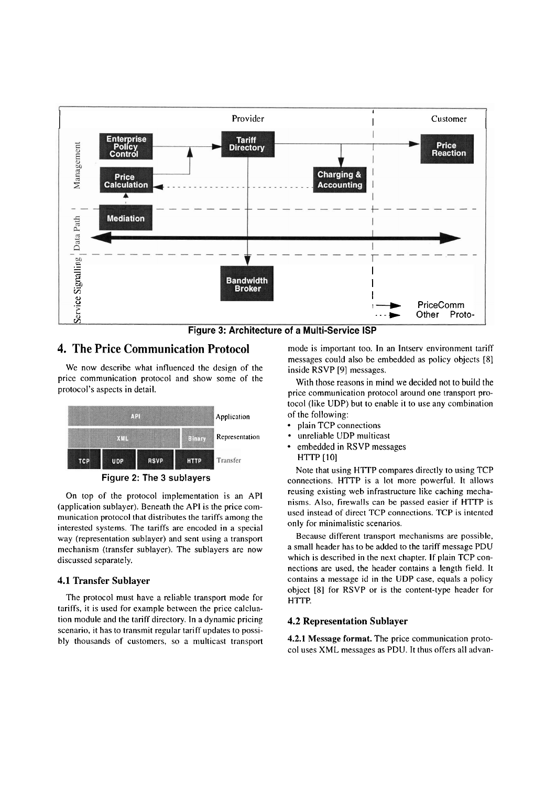

Figure **3:** Architecture **of** a Multi-Service ISP

## **4. The Price Communication Protocol** mode is important too. In an Intserv environment tariff

We now describe what influenced the design of the inside  $\overline{RSVP}$  [9] messages.<br>price communication protocol and show some of the With these reasons in min price communication protocol and show some of the With those reasons in mind we decided not to build the protocol's aspects in detail.



On top of the protocol implementation is an API (application sublayer). Beneath the API is the price communication protocol that distributes the tariffs among the interested Systems. The tariffs are encoded in a Special way (representation sublayer) and sent using a transport mechanism (transfer sublayer). The sublayers are now discussed separately.

### **4.1 Transfer Sublayer**

The protocol must have a reliable transport mode for tariffs, it is used for example between the price calcluation module and the tariff directory. In a dynamic pricing scenario, it has to transmit regular tariff updates to possibly thousands of customers, so a multicast transport messages could also be embedded as policy objects [8]

price communication protocol around one transport protocol (like UDP) but to enable it to use any combination Application of the following:

- plain TCP connections
- Representation unreliable UDP multicast
	- embedded in RSVP messages HTTP [10]

Note that using HTTP compares directly to using TCP Figure 2: The 3 sublayers connections. HTTP is a lot more powerful. It allows reusing existing web infrastructure like caching mechanisms. Also, firewalls can be passed easier if HTTP is used instead of direct TCP connections. TCP is intented only for minimalistic scenarios.

> Because different transport mechanisms are possible, a small header has to be added to the tariff message PDU which is described in the next chapter. If plain TCP connections are used, the header contains a length field. It contains a message id in the UDP case, equals a policy object [8] for RSVP or is the content-type header for HTTP.

## **4.2 Representation Sublayer**

**4.2.1 Message format.** The price communication protocol uses XML messages as PDU. It thus offers all advan-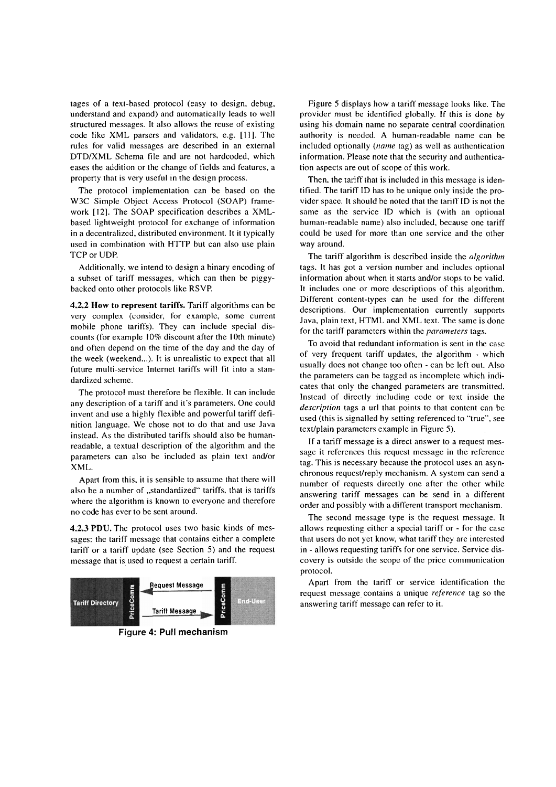tages of a text-based protocol (easy to design, debug, understand and expand) and automatically leads to well structured messages. It also allows the reuse of existing code like XML Parsers and validators, e.g. [ll]. The rules for valid messages are descrihed in an external DTDIXML Schema file and are not hardcoded, which eases the addition or the change of fields and Features, a property that is very useful in the design process.

The protocol implementation can be based on the W3C Simple Object Access Protocol (SOAP) framework [12]. The SOAP specification describes a XMLbased lightweight protocol for exchange of information in a decentralizcd, distributed environment. It it typically used in combination with HTTP but can also use plain TCP or UDP.

Additionally, we intend to design a binary encoding of a subset of tariff messages, which can then be piggybacked onto other protocols like RSVP.

**4.2.2 How to represent tariffs.** Tariff algorithms can be very complex (consider, for example, some current mobile phone tariffs). They can include special discounts (for example 10% discount after the 10th minute) and often depend on the time of the day and the day of the week (weckend...). It is unrealistic to expect that all future multi-service lnternet tariffs will fit into a standardized scheme.

The protocol must therefore be flexible. It can include any description of a tariff and it's parameters. One could invent and use a highly flexible and powerful tariff definition Ianguage. We chose not to do that and use Java instead. As the distributed tariffs should also be humanreadable, a textual description of the algorithm and the parameters can also be included as plain text and/or XML.

Apart from this, it is sensible to assuine that there will also be a number of "standardized" tariffs, that is tariffs where the algorithm is known to everyone and therefore no code has ever to be sent around.

**4.2.3** PDU. Thc protocol uses two basic kinds of messages: the tariff message that contains either a complete tariff or a tariff update (see Section 5) and the request message that is used to request a certain tariff.



**Figure 4: Pull mechanism** 

Figure 5 displays how a tariff message looks like. Thc provider must **be** identified globally. **If** this is done by using his domain name no separate central coordination authority is needed. A human-readable name can be included optionally (name tag) as well as authentication information. Please note that the security and authentication aspects are out of scope of this work.

Then, the tariff that is included in this message is identified. The tariff ID has to be unique only inside the provider space. It should be noted that the tariff ID is not the same as the service ID which is (with an optional human-readable name) also included, because one tariff could be used for more than one service and the other way around.

The tariff algorithm is described inside the  $algorithm$ tags. It has got a version number and includes optional information about when it starts and/or stops to be valid. It includes one or more descriptions of this algorithm. Different content-types can be used for the different descriptions. Our implementation currently supports Java, plain text, HTML and XML text. The same is done for the tariff parameters within the *parameters* tags.

To avoid that redundant information is sent in the case of very frcquent tariff updates, the algorithm - which usually does not change too often - can be left out. Also the parameters can be tagged as incompletc which indicates that only the changed parameters are transmitted. Instead of directly including code or text inside the description tags a url that points to that content can be used (this is signalled by setting referenced to "true", see text/plain parameters example in Figure 5).

If a tariff message is a direct answer to a request message it references this request message in the reference tag. This is necessary because the protocol uses an asynchronous requcst/reply mechanism. A system can send **a**  number of requests directly one after the other while answering tariff messages can be send in a different order and possibly with a different transport mechanism.

The second message type is the request message. It allows requesting either a special tariff or - for the case that users do not yet know, what tariff they are interested in - allows requesting tariffs for one service. Service discovery is outside the scope of the price communication protocol.

Apart from the tariff or service identification the request message contains a unique reference tag so the answering tariff message can refer to it.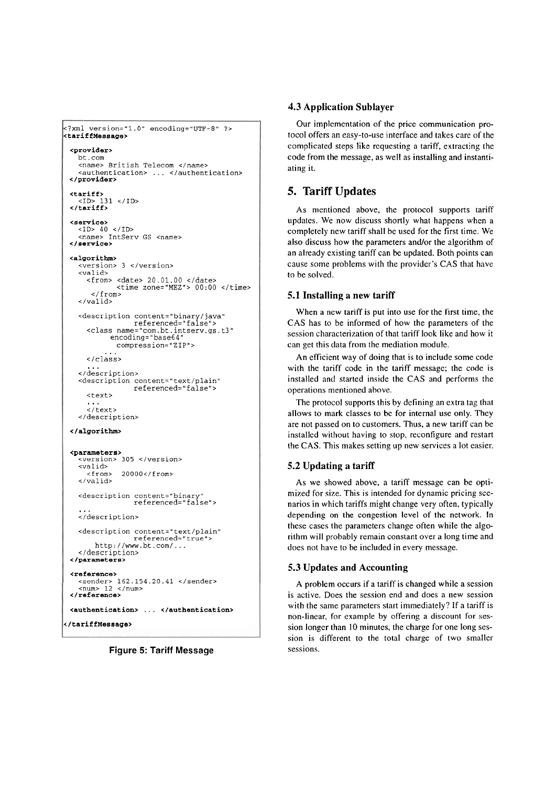```
<?ml version="l.O" encoding="UTF-8" ?> 
<tariffMessage> 
 <provider> 
    <name> British Telecom </name>
    <authentication> ... </authentication>
 </provider> 
  <tariff> 
<ID> 131 </ID> 
</tariff > 
 <service> 
 <ID> 40 </ID> <r.ame> IntServ GS <name> </service> 
 <algorithm> 
    <version> 3 </version> 
    <valid> 
      <from> <date> 20.01.00 </date> 
               <time zone="MEZ"> 00:OO </time> 
        </ Erom> 
    </valid> 
    <description content="binary/java"
       referenced="falseM> 
cclass name="com.bt.intserv.gs.t3" 
             encoding="base64" 
      compression="ZIP"> ... </class> 
    ... </description> 
    <description content="text/plain"
                   referenced="false">
      <text> 
       ....<br>...
       c/text> 
    </description> 
 </algorithm> 
 <parameters>
    <version> 305 </version> 
    <valid> 
                20000 </from>
    </valid> 
    <description content="binary"<br>referenced="false"><br>...
    </description> 
    <description content="text/plain" 
                   referenced="true">
    http://www.bt.com/...<br></description>
 </parameters> 
  <reference> 
    <sender> 162.154.20.41 </sender> <num> 12 </num> 
 </reference> 
 <authentication> ... </authentication> 
</tariffMessage>
```
## **Figure 5: Tariff Message**

#### **4.3 Application Sublayer**

Our implementation of the price communication protocol offers an easy-to-use interface and takes care of the complicated steps like requesting a tariff, extracting the code from the message, as well as installing and instantiating it.

# **5. Tariff Updates**

As mentioned above, the protocol supports tariff updates. We now discuss shortly what happens when a completely new tariff shall be used for the first time. We also discuss how the parameters and/or the algorithm of an already existing tariff can be updated. Both points can cause some problems with the provider's CAS that have to be solved.

## **5.1 Installing a new tariff**

When a new tariff is put into use for the first time, the CAS has to be informed of how the parameters of the session characterization of that tariff look like and how it can get this data from the mediation module.

An efficient way of doing that is to include some code with the tariff code in the tariff message; ihe code is installed and started inside the CAS and performs the operations mentioned above.

The protocol supports this by defining an extra tag that allows to mark classes to be for internal use only. They are not passed on to customers. Thus, a new tariff can be installcd without having to stop, reconfigure and restart the CAS. This makes setting up new sewices a lot casier.

## **5.2 Updating a tariff**

As we showed above, a tariff message can be optimized for size. This is intended for dynamic pricing scenarios in which tariffs might change very often, typically depending on the congestion level of the network. In these cases the parameters change often while the algorithm will probably remain constant over a long time and does not have to be included in every message.

#### **5.3 Updates and Accounting**

A problem occurs if a tariff is changed while a session is active. Does the session end and does a new session with the same parameters start immediately? If a tariff is non-linear, for example by offering a discount for session longer than 10 minutes, the charge for one long session is different to the total charge of two smaller sessions.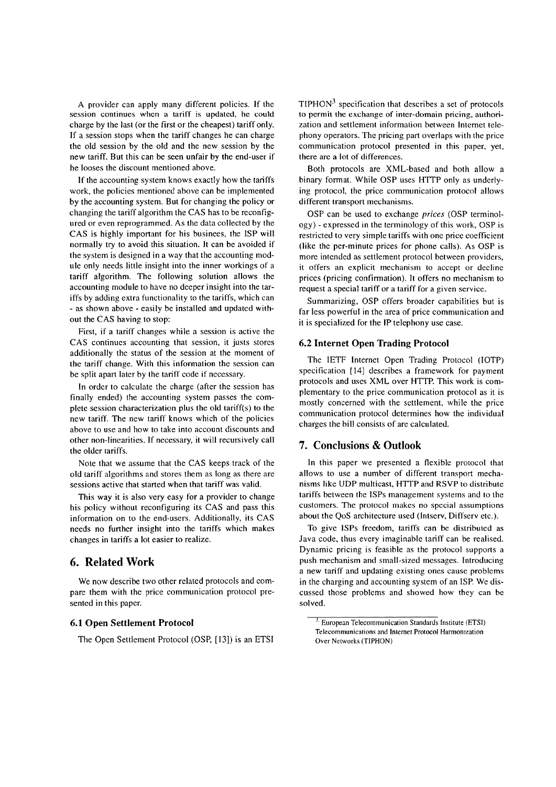A provider can apply many different policies. If the session continues whcn a tariff is updated, he could charge by the last (or the first or the cheapest) tariff only. If a session stops when the tariff changes he can charge the old session by the old and thc new session by the new tariff. But this can be seen unfair by the end-user if he looses the discount mentioned above.

If the accounting system knows exactly how the tariffs work, the policies mentioned above can be implemented by the accounting system. But for changing the policy or changing the tariff algorithm the CAS has tobe reconfigured or even reprogrammed. As the data collected by the CAS is highly important for his businees, the ISP will normally try to avoid this situation. It can be avoided if the system is designed in a way that the accounting module only needs little insight into the inner workings of a tariff algorithm. The following solution allows the accounting module to have no deeper insight into the tariffs by adding extra functionality to the tariffs, which can - as shown above - easily be installed and updated without the CAS having to stop:

First, if a tariff changes while a session is active the CAS continues accounting that session, it justs stores additionally the status of the session at the moment of the tariff change. With this information the session can be split apart later by the tariff code if necessary.

In order to calculate the charge (after the session has finally ended) the accounting system passes the complete session characterization plus the old tariff(s) to the new tariff. The new tariff knows which of the policies above to use and how to take into account discounts and other non-linearities. If necessary, it will recursively call the older tariffs.

Note that we assume that the CAS keeps track of the old tariff algorithms and stores them as long as there arc sessions active that started when that tariff was valid.

This way it is also very easy for a provider to change his policy without reconfiguring its CAS and pass this information on to the end-users. Additionally, its CAS needs no further insight into the tariffs which makes changes in tariffs a lot easier to realize.

## **6. Related Work**

We now describe two other related protocols and compare them with the price communication protocol presented in this paper.

## **6.1 Open Settlement Protocol**

The Open Settlement Protocol (OSP, [13]) is an ETSI

 $TIPHON<sup>3</sup>$  specification that describes a set of protocols to permit the exchange of inter-domain pricing, authorization and settlement information between Internet telephony Operators. The pricing part overlaps with the price communication protocol presented in this paper, yet, there are a lot of differences.

Both protocols are XML-based and both allow a binary format. While OSP uses HTTP only as underlying protocol, the price communication protocol allows different transport mechanisms.

OSP can be used to exchange prices (OSP terminology) - expressed in the terminology of this work, OSP is restricted to very simple tariffs with one price coefficient (like the per-minute prices for phone calls). As OSP is morc intended as settlement protocol between providers, it offers an explicit mechanism to accept or decline prices (pricing confirmation). It offers no mechanism to request a special tariff or a tariff for a given service.

Summarizing, OSP offers broader capabilities but is far less powerful in the area of price communication and it is specialized for the IP telephony use case.

#### **6.2 Internet Open Trading Protocol**

The IETF Internet Open Trading Protocol (IOTP) specification [I41 describes a framework for payment protocols and uses XML over HTTP. This work is complementary to the price communication protocol as it is mostly concerned with the scttlement, while the price communication protocol determines how the individual charges the bill consists of are calculated.

## **7. Conclusions** & **Outlook**

In this paper we presented a flexible protocol that allows to use a number of different transport mechanisms likc UDP multicast, HTTP and RSVP to distribute tariffs between the ISPs management systems and to the customers. The protocol makes no spccial assumptions about the QoS architecture used (Jntserv, Diffserv etc.).

To givc lSPs freedom, tariffs can be distributed as Java code, thus every imaginable tariff can be realised. Dynamic pricing is feasible as the protocol Supports a push mechanism and small-sized messages. Introducing a new tariff and updating existing ones cause problcms in the charging and accounting system of an ISP. We discussed those problems and showed how they can be solved.

 $3.$  European Telecommunication Standards Institute (ETSI) Telecommunications and Internet Protocol Harmonization Over Networks (TIPHON)